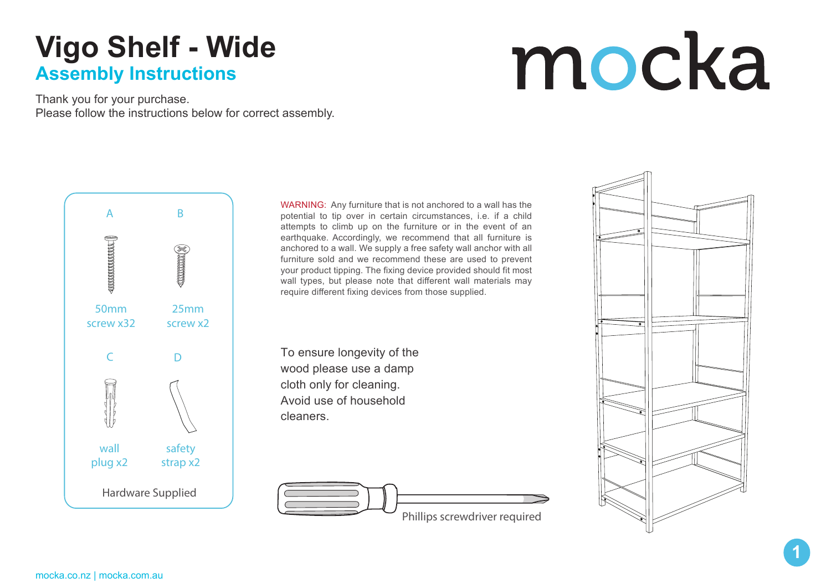#### **Vigo Shelf - Wide Assembly Instructions**

# mocka

Thank you for your purchase. Please follow the instructions below for correct assembly.



WARNING: Any furniture that is not anchored to a wall has the potential to tip over in certain circumstances, i.e. if a child attempts to climb up on the furniture or in the event of an earthquake. Accordingly, we recommend that all furniture is anchored to a wall. We supply a free safety wall anchor with all furniture sold and we recommend these are used to prevent your product tipping. The fixing device provided should fit most wall types, but please note that different wall materials may require different fixing devices from those supplied.

To ensure longevity of the wood please use a damp cloth only for cleaning. Avoid use of household cleaners.





**1**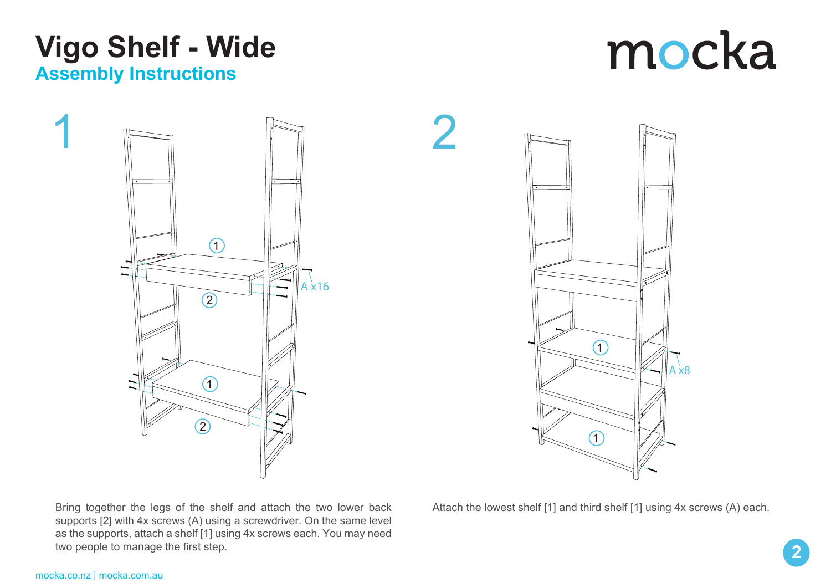### **Vigo Shelf - Wide Assembly Instructions**

### mocka



Bring together the legs of the shelf and attach the two lower back supports [2] with 4x screws (A) using a screwdriver. On the same level as the supports, attach a shelf [1] using 4x screws each. You may need two people to manage the first step.



Attach the lowest shelf [1] and third shelf [1] using 4x screws (A) each.